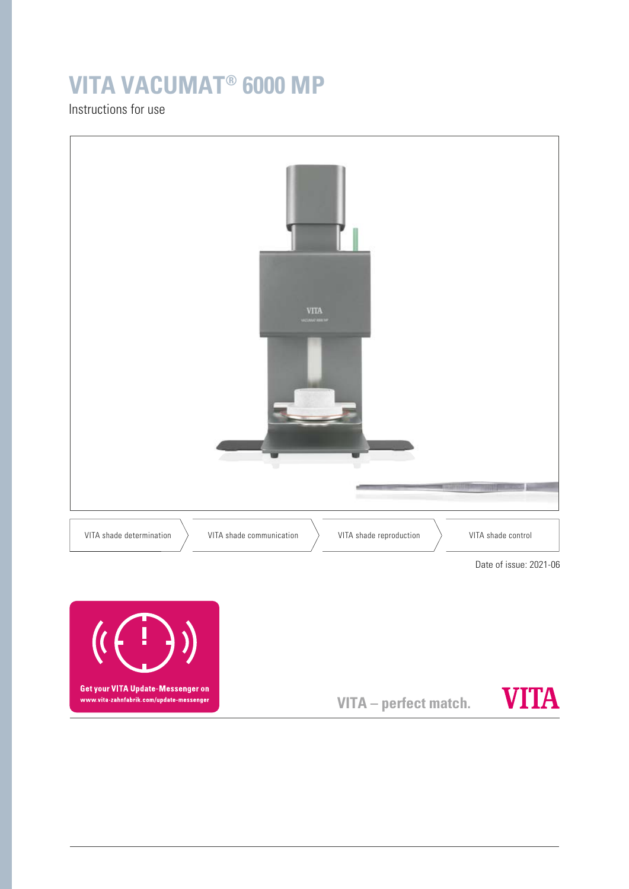# **VITA VACUMAT® 6000 MP**

Instructions for use





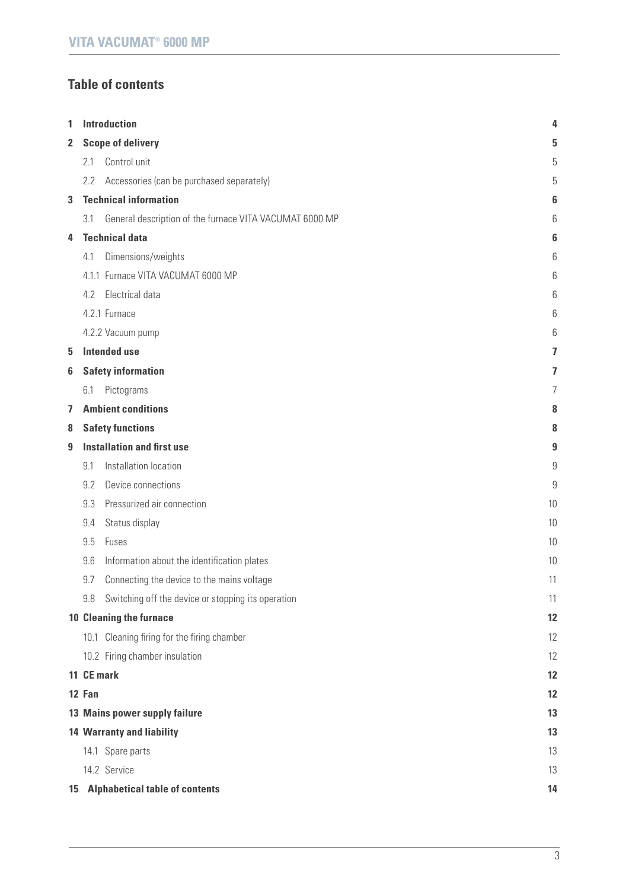# **Table of contents**

| 1            |                                   | <b>Introduction</b>                                     | 4  |
|--------------|-----------------------------------|---------------------------------------------------------|----|
| $\mathbf{2}$ | <b>Scope of delivery</b>          |                                                         |    |
|              | 2.1                               | Control unit                                            | 5  |
|              | 2.2                               | Accessories (can be purchased separately)               | 5  |
| 3            |                                   | <b>Technical information</b>                            | 6  |
|              | 3.1                               | General description of the furnace VITA VACUMAT 6000 MP | 6  |
| 4            |                                   | <b>Technical data</b>                                   | 6  |
|              | 4.1                               | Dimensions/weights                                      | 6  |
|              |                                   | 4.1.1 Furnace VITA VACUMAT 6000 MP                      | 6  |
|              | 4.2                               | Electrical data                                         | 6  |
|              |                                   | 4.2.1 Furnace                                           | 6  |
|              |                                   | 4.2.2 Vacuum pump                                       | 6  |
| 5            |                                   | <b>Intended use</b>                                     | 7  |
| 6            |                                   | <b>Safety information</b>                               | 7  |
|              | 6.1                               | Pictograms                                              | 7  |
| 7            |                                   | <b>Ambient conditions</b>                               | 8  |
| 8            |                                   | <b>Safety functions</b>                                 | 8  |
| 9            | <b>Installation and first use</b> |                                                         |    |
|              | 9.1                               | Installation location                                   | 9  |
|              | 9.2                               | Device connections                                      | 9  |
|              | 9.3                               | Pressurized air connection                              | 10 |
|              | 9.4                               | Status display                                          | 10 |
|              | 9.5                               | Fuses                                                   | 10 |
|              | 9.6                               | Information about the identification plates             | 10 |
|              | 9.7                               | Connecting the device to the mains voltage              | 11 |
|              | 9.8                               | Switching off the device or stopping its operation      | 11 |
|              |                                   | <b>10 Cleaning the furnace</b>                          | 12 |
|              |                                   | 10.1 Cleaning firing for the firing chamber             | 12 |
|              |                                   | 10.2 Firing chamber insulation                          | 12 |
|              |                                   | 11 CE mark                                              | 12 |
|              | 12 Fan                            |                                                         | 12 |
|              |                                   | 13 Mains power supply failure                           | 13 |
|              |                                   | <b>14 Warranty and liability</b>                        | 13 |
|              |                                   | 14.1 Spare parts                                        | 13 |
|              |                                   | 14.2 Service                                            | 13 |
|              |                                   | 15 Alphabetical table of contents                       | 14 |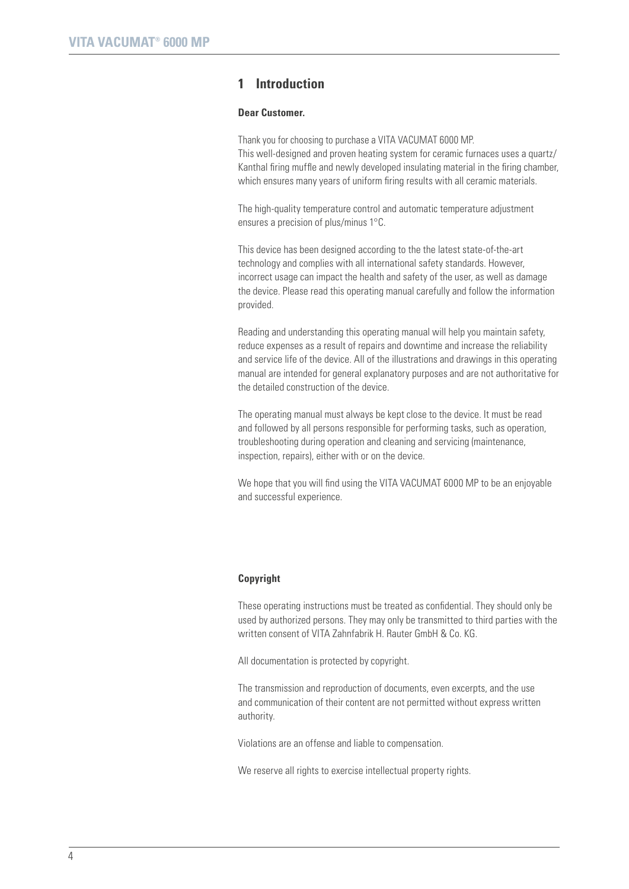# **1 Introduction**

#### **Dear Customer.**

Thank you for choosing to purchase a VITA VACUMAT 6000 MP. This well-designed and proven heating system for ceramic furnaces uses a quartz/ Kanthal firing muffle and newly developed insulating material in the firing chamber, which ensures many years of uniform firing results with all ceramic materials.

The high-quality temperature control and automatic temperature adjustment ensures a precision of plus/minus 1°C.

This device has been designed according to the the latest state-of-the-art technology and complies with all international safety standards. However, incorrect usage can impact the health and safety of the user, as well as damage the device. Please read this operating manual carefully and follow the information provided.

Reading and understanding this operating manual will help you maintain safety, reduce expenses as a result of repairs and downtime and increase the reliability and service life of the device. All of the illustrations and drawings in this operating manual are intended for general explanatory purposes and are not authoritative for the detailed construction of the device.

The operating manual must always be kept close to the device. It must be read and followed by all persons responsible for performing tasks, such as operation, troubleshooting during operation and cleaning and servicing (maintenance, inspection, repairs), either with or on the device.

We hope that you will find using the VITA VACUMAT 6000 MP to be an enjoyable and successful experience.

#### **Copyright**

These operating instructions must be treated as confidential. They should only be used by authorized persons. They may only be transmitted to third parties with the written consent of VITA Zahnfabrik H. Rauter GmbH & Co. KG.

All documentation is protected by copyright.

The transmission and reproduction of documents, even excerpts, and the use and communication of their content are not permitted without express written authority.

Violations are an offense and liable to compensation.

We reserve all rights to exercise intellectual property rights.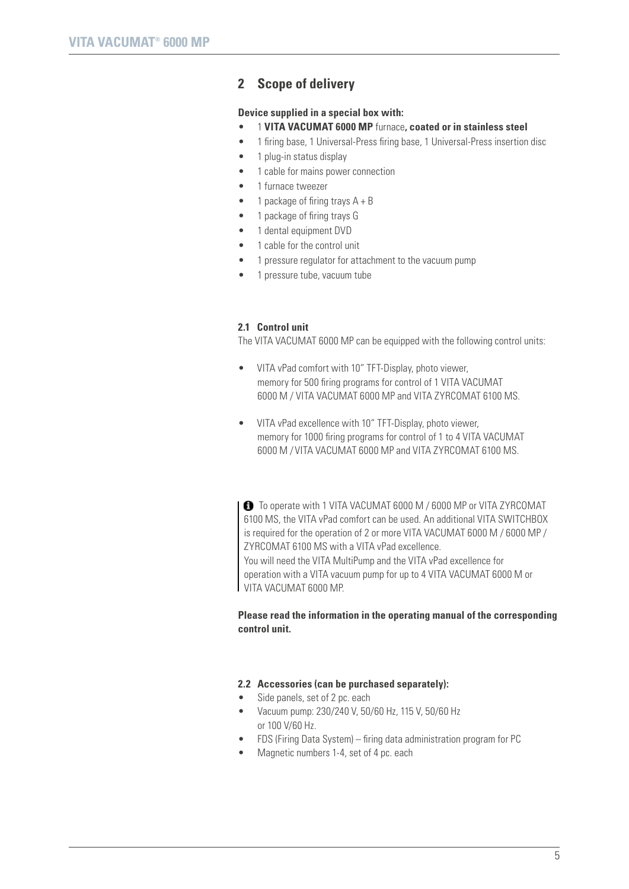# **2 Scope of delivery**

## **Device supplied in a special box with:**

- 1 **VITA VACUMAT 6000 MP** furnace**, coated or in stainless steel**
- 1 firing base, 1 Universal-Press firing base, 1 Universal-Press insertion disc
- 1 plug-in status display
- 1 cable for mains power connection
- 1 furnace tweezer
- 1 package of firing trays  $A + B$
- 1 package of firing trays G
- 1 dental equipment DVD
- 1 cable for the control unit
- 1 pressure regulator for attachment to the vacuum pump
- 1 pressure tube, vacuum tube

## **2.1 Control unit**

The VITA VACUMAT 6000 MP can be equipped with the following control units:

- VITA vPad comfort with 10" TFT-Display, photo viewer, memory for 500 firing programs for control of 1 VITA VACUMAT 6000 M / VITA VACUMAT 6000 MP and VITA ZYRCOMAT 6100 MS.
- VITA vPad excellence with 10" TFT-Display, photo viewer, memory for 1000 firing programs for control of 1 to 4 VITA VACUMAT 6000 M / VITA VACUMAT 6000 MP and VITA ZYRCOMAT 6100 MS.

 $\bigodot$  To operate with 1 VITA VACUMAT 6000 M / 6000 MP or VITA ZYRCOMAT 6100 MS, the VITA vPad comfort can be used. An additional VITA SWITCHBOX is required for the operation of 2 or more VITA VACUMAT 6000 M / 6000 MP / ZYRCOMAT 6100 MS with a VITA vPad excellence.

You will need the VITA MultiPump and the VITA vPad excellence for operation with a VITA vacuum pump for up to 4 VITA VACUMAT 6000 M or VITA VACUMAT 6000 MP

# **Please read the information in the operating manual of the corresponding control unit.**

#### **2.2 Accessories (can be purchased separately):**

- Side panels, set of 2 pc. each
- Vacuum pump: 230/240 V, 50/60 Hz, 115 V, 50/60 Hz or 100 V/60 Hz.
- FDS (Firing Data System) firing data administration program for PC
- Magnetic numbers 1-4, set of 4 pc. each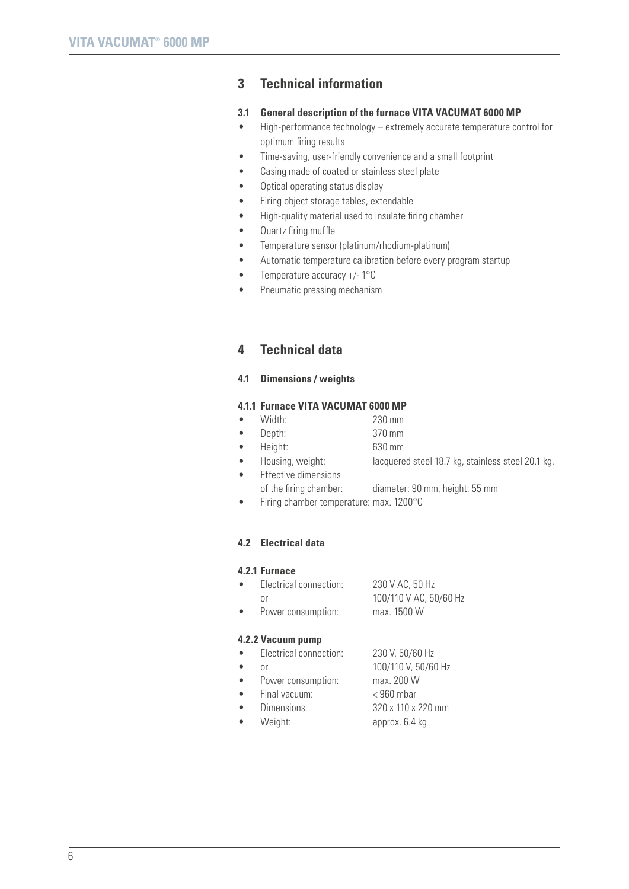# **3 Technical information**

#### **3.1 General description of the furnace VITA VACUMAT 6000 MP**

- High-performance technology extremely accurate temperature control for optimum firing results
- Time-saving, user-friendly convenience and a small footprint
- Casing made of coated or stainless steel plate
- Optical operating status display
- Firing object storage tables, extendable
- High-quality material used to insulate firing chamber
- Quartz firing muffle
- Temperature sensor (platinum/rhodium-platinum)
- Automatic temperature calibration before every program startup
- Temperature accuracy +/- 1°C
- Pneumatic pressing mechanism

# **4 Technical data**

## **4.1 Dimensions / weights**

## **4.1.1 Furnace VITA VACUMAT 6000 MP**

- Width: 230 mm
- Depth: 370 mm
- Height: 630 mm
- Housing, weight: lacquered steel 18.7 kg, stainless steel 20.1 kg.
	- Effective dimensions
		- of the firing chamber: diameter: 90 mm, height: 55 mm
	- Firing chamber temperature: max. 1200°C

## **4.2 Electrical data**

### **4.2.1 Furnace**

| 4.2.2 Vacuum pump |                          |                                       |  |  |
|-------------------|--------------------------|---------------------------------------|--|--|
|                   | nr<br>Power consumption: | 100/110 V AC, 50/60 Hz<br>max. 1500 W |  |  |
|                   | Electrical connection:   | 230 V AC, 50 Hz                       |  |  |

# • Electrical connection: 230 V, 50/60 Hz or 100/110 V, 50/60 Hz

- Power consumption: max. 200 W
	- Final vacuum: < 960 mbar
	- Dimensions: 320 x 110 x 220 mm
	- Weight: approx. 6.4 kg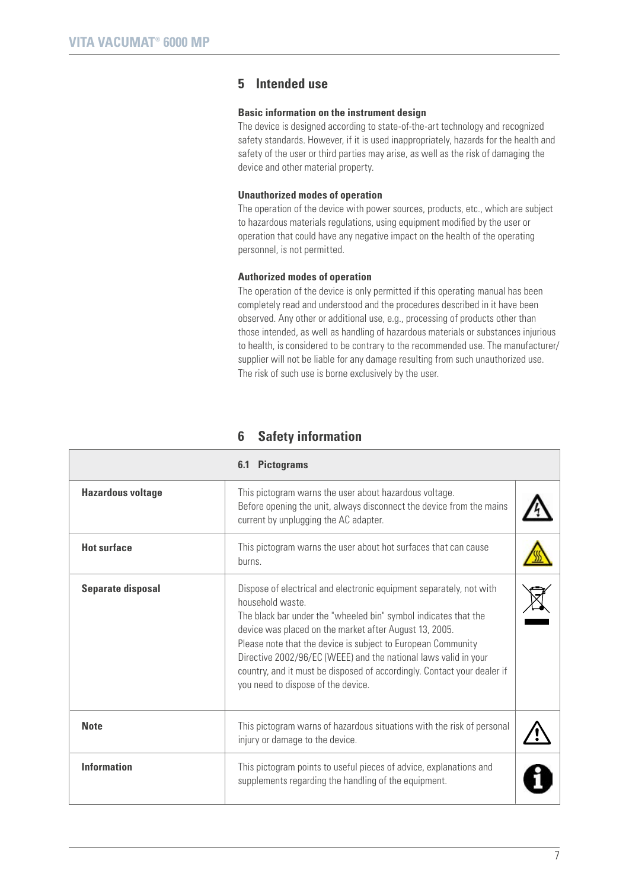# **5 Intended use**

### **Basic information on the instrument design**

The device is designed according to state-of-the-art technology and recognized safety standards. However, if it is used inappropriately, hazards for the health and safety of the user or third parties may arise, as well as the risk of damaging the device and other material property.

## **Unauthorized modes of operation**

The operation of the device with power sources, products, etc., which are subject to hazardous materials regulations, using equipment modified by the user or operation that could have any negative impact on the health of the operating personnel, is not permitted.

### **Authorized modes of operation**

The operation of the device is only permitted if this operating manual has been completely read and understood and the procedures described in it have been observed. Any other or additional use, e.g., processing of products other than those intended, as well as handling of hazardous materials or substances injurious to health, is considered to be contrary to the recommended use. The manufacturer/ supplier will not be liable for any damage resulting from such unauthorized use. The risk of such use is borne exclusively by the user.

|                          | <b>Pictograms</b><br>6.1                                                                                                                                                                                                                                                                                                                                                                                                                                                |  |
|--------------------------|-------------------------------------------------------------------------------------------------------------------------------------------------------------------------------------------------------------------------------------------------------------------------------------------------------------------------------------------------------------------------------------------------------------------------------------------------------------------------|--|
| <b>Hazardous voltage</b> | This pictogram warns the user about hazardous voltage.<br>Before opening the unit, always disconnect the device from the mains<br>current by unplugging the AC adapter.                                                                                                                                                                                                                                                                                                 |  |
| <b>Hot surface</b>       | This pictogram warns the user about hot surfaces that can cause<br>burns.                                                                                                                                                                                                                                                                                                                                                                                               |  |
| Separate disposal        | Dispose of electrical and electronic equipment separately, not with<br>household waste<br>The black bar under the "wheeled bin" symbol indicates that the<br>device was placed on the market after August 13, 2005.<br>Please note that the device is subject to European Community<br>Directive 2002/96/EC (WEEE) and the national laws valid in your<br>country, and it must be disposed of accordingly. Contact your dealer if<br>you need to dispose of the device. |  |
| <b>Note</b>              | This pictogram warns of hazardous situations with the risk of personal<br>injury or damage to the device.                                                                                                                                                                                                                                                                                                                                                               |  |
| <b>Information</b>       | This pictogram points to useful pieces of advice, explanations and<br>supplements regarding the handling of the equipment.                                                                                                                                                                                                                                                                                                                                              |  |

# **6 Safety information**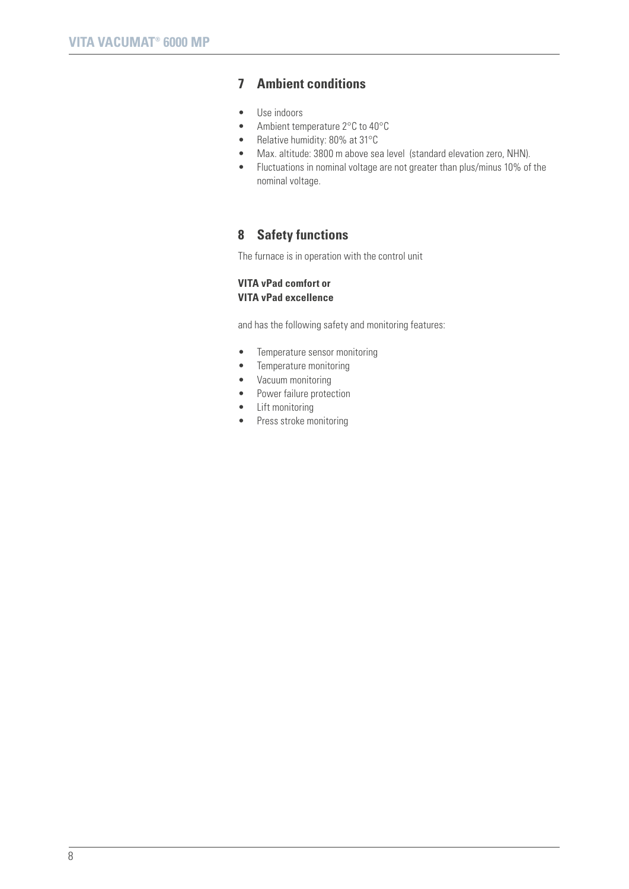# **7 Ambient conditions**

- Use indoors
- Ambient temperature 2°C to 40°C
- Relative humidity: 80% at 31°C
- Max. altitude: 3800 m above sea level (standard elevation zero, NHN).
- Fluctuations in nominal voltage are not greater than plus/minus 10% of the nominal voltage.

# **8 Safety functions**

The furnace is in operation with the control unit

# **VITA vPad comfort or VITA vPad excellence**

and has the following safety and monitoring features:

- Temperature sensor monitoring
- Temperature monitoring
- Vacuum monitoring
- Power failure protection
- Lift monitoring
- Press stroke monitoring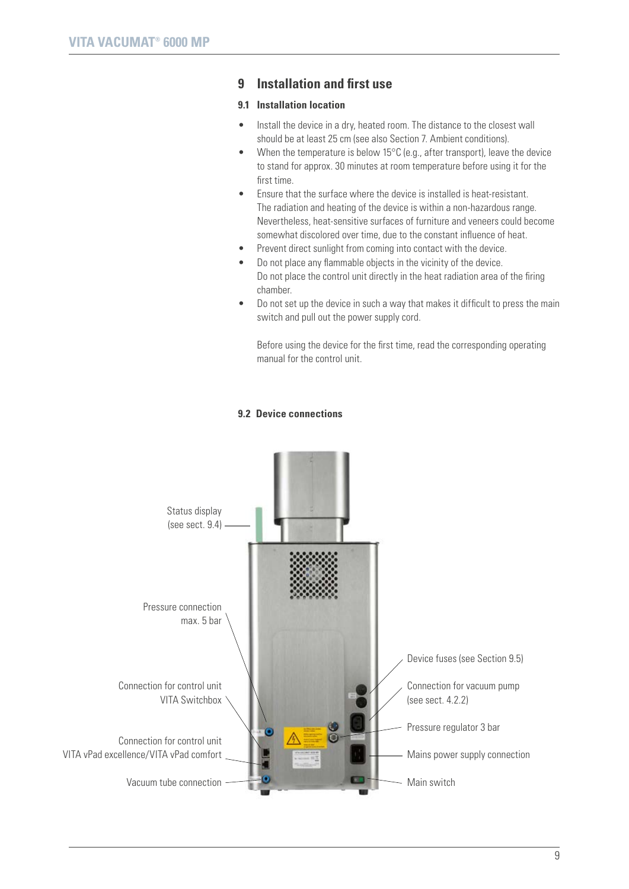# **9 Installation and first use**

# **9.1 Installation location**

- Install the device in a dry, heated room. The distance to the closest wall should be at least 25 cm (see also Section 7. Ambient conditions).
- When the temperature is below 15 $\degree$ C (e.g., after transport), leave the device to stand for approx. 30 minutes at room temperature before using it for the first time.
- Ensure that the surface where the device is installed is heat-resistant. The radiation and heating of the device is within a non-hazardous range. Nevertheless, heat-sensitive surfaces of furniture and veneers could become somewhat discolored over time, due to the constant influence of heat.
- Prevent direct sunlight from coming into contact with the device.
- Do not place any flammable objects in the vicinity of the device. Do not place the control unit directly in the heat radiation area of the firing chamber.
- Do not set up the device in such a way that makes it difficult to press the main switch and pull out the power supply cord.

Before using the device for the first time, read the corresponding operating manual for the control unit.

## **9.2 Device connections**

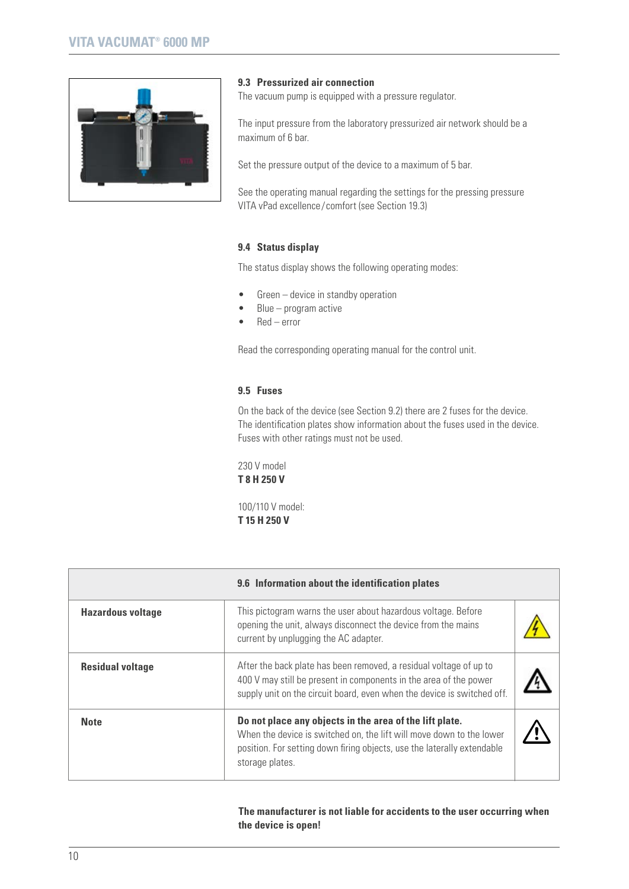

### **9.3 Pressurized air connection**

The vacuum pump is equipped with a pressure regulator.

The input pressure from the laboratory pressurized air network should be a maximum of 6 bar.

Set the pressure output of the device to a maximum of 5 bar.

See the operating manual regarding the settings for the pressing pressure VITA vPad excellence/comfort (see Section 19.3)

## **9.4 Status display**

The status display shows the following operating modes:

- Green device in standby operation
- $Blue program$  active
- Red error

Read the corresponding operating manual for the control unit.

# **9.5 Fuses**

On the back of the device (see Section 9.2) there are 2 fuses for the device. The identification plates show information about the fuses used in the device. Fuses with other ratings must not be used.

230 V model **T 8 H 250 V**

100/110 V model: **T 15 H 250 V**

|                          | 9.6 Information about the identification plates                                                                                                                                                                               |  |
|--------------------------|-------------------------------------------------------------------------------------------------------------------------------------------------------------------------------------------------------------------------------|--|
| <b>Hazardous voltage</b> | This pictogram warns the user about hazardous voltage. Before<br>opening the unit, always disconnect the device from the mains<br>current by unplugging the AC adapter.                                                       |  |
| <b>Residual voltage</b>  | After the back plate has been removed, a residual voltage of up to<br>400 V may still be present in components in the area of the power<br>supply unit on the circuit board, even when the device is switched off.            |  |
| <b>Note</b>              | Do not place any objects in the area of the lift plate.<br>When the device is switched on, the lift will move down to the lower<br>position. For setting down firing objects, use the laterally extendable<br>storage plates. |  |

## **The manufacturer is not liable for accidents to the user occurring when the device is open!**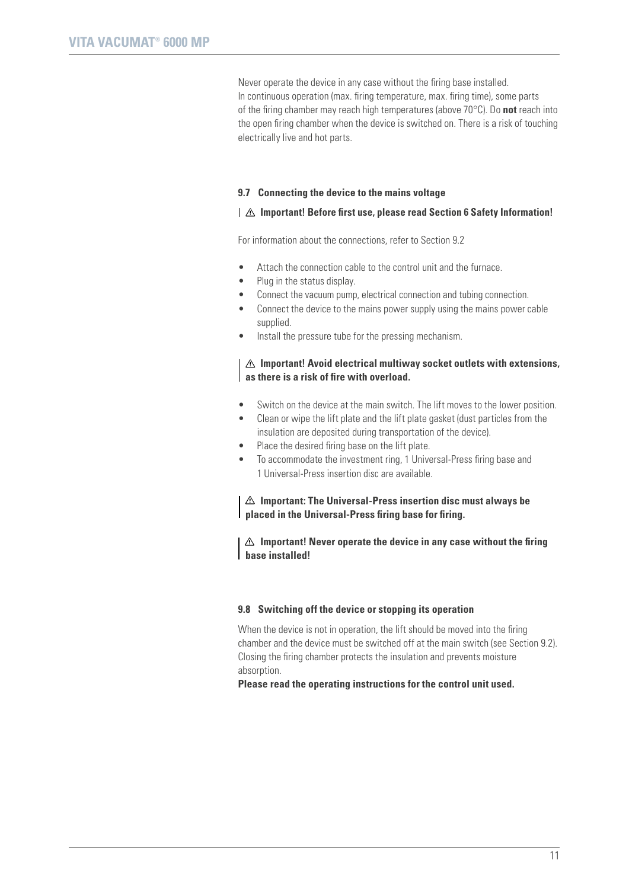Never operate the device in any case without the firing base installed. In continuous operation (max. firing temperature, max. firing time), some parts of the firing chamber may reach high temperatures (above 70°C). Do **not** reach into the open firing chamber when the device is switched on. There is a risk of touching electrically live and hot parts.

#### **9.7 Connecting the device to the mains voltage**

#### **Important! Before first use, please read Section 6 Safety Information!**

For information about the connections, refer to Section 9.2

- Attach the connection cable to the control unit and the furnace.
- Plug in the status display.
- Connect the vacuum pump, electrical connection and tubing connection.
- Connect the device to the mains power supply using the mains power cable supplied.
- Install the pressure tube for the pressing mechanism.

# **Important! Avoid electrical multiway socket outlets with extensions, as there is a risk of fire with overload.**

- Switch on the device at the main switch. The lift moves to the lower position.
- Clean or wipe the lift plate and the lift plate gasket (dust particles from the insulation are deposited during transportation of the device).
- Place the desired firing base on the lift plate.
- To accommodate the investment ring, 1 Universal-Press firing base and 1 Universal-Press insertion disc are available.

**Important: The Universal-Press insertion disc must always be placed in the Universal-Press firing base for firing.**

**Important! Never operate the device in any case without the firing base installed!**

#### **9.8 Switching off the device or stopping its operation**

When the device is not in operation, the lift should be moved into the firing chamber and the device must be switched off at the main switch (see Section 9.2). Closing the firing chamber protects the insulation and prevents moisture absorption.

**Please read the operating instructions for the control unit used.**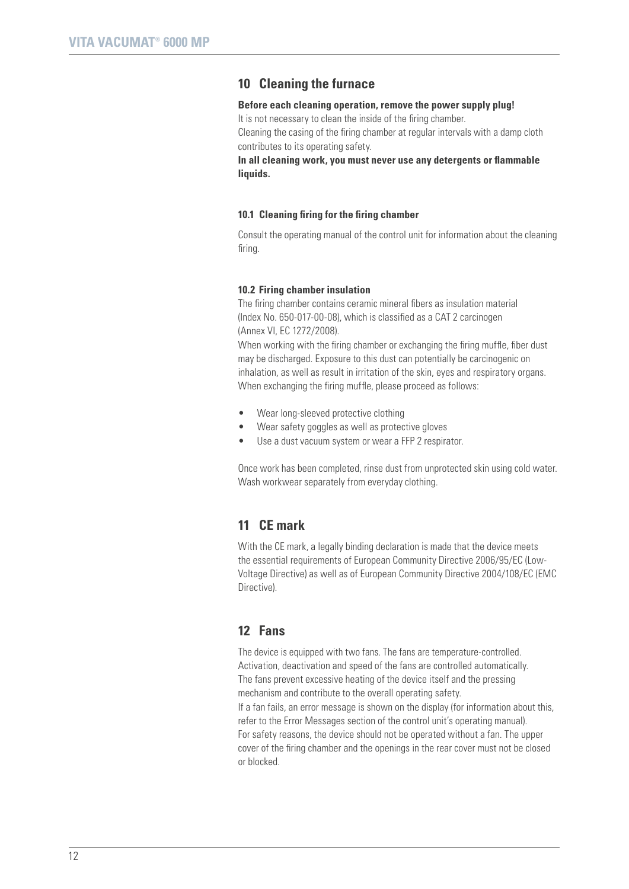# **10 Cleaning the furnace**

#### **Before each cleaning operation, remove the power supply plug!**

It is not necessary to clean the inside of the firing chamber. Cleaning the casing of the firing chamber at regular intervals with a damp cloth contributes to its operating safety.

**In all cleaning work, you must never use any detergents or flammable liquids.**

#### **10.1 Cleaning firing for the firing chamber**

Consult the operating manual of the control unit for information about the cleaning firing.

#### **10.2 Firing chamber insulation**

The firing chamber contains ceramic mineral fibers as insulation material (Index No. 650-017-00-08), which is classified as a CAT 2 carcinogen (Annex VI, EC 1272/2008).

When working with the firing chamber or exchanging the firing muffle, fiber dust may be discharged. Exposure to this dust can potentially be carcinogenic on inhalation, as well as result in irritation of the skin, eyes and respiratory organs. When exchanging the firing muffle, please proceed as follows:

- Wear long-sleeved protective clothing
- Wear safety goggles as well as protective gloves
- Use a dust vacuum system or wear a FFP 2 respirator.

Once work has been completed, rinse dust from unprotected skin using cold water. Wash workwear separately from everyday clothing.

# **11 CE mark**

With the CE mark, a legally binding declaration is made that the device meets the essential requirements of European Community Directive 2006/95/EC (Low-Voltage Directive) as well as of European Community Directive 2004/108/EC (EMC Directive).

# **12 Fans**

The device is equipped with two fans. The fans are temperature-controlled. Activation, deactivation and speed of the fans are controlled automatically. The fans prevent excessive heating of the device itself and the pressing mechanism and contribute to the overall operating safety. If a fan fails, an error message is shown on the display (for information about this, refer to the Error Messages section of the control unit's operating manual). For safety reasons, the device should not be operated without a fan. The upper cover of the firing chamber and the openings in the rear cover must not be closed or blocked.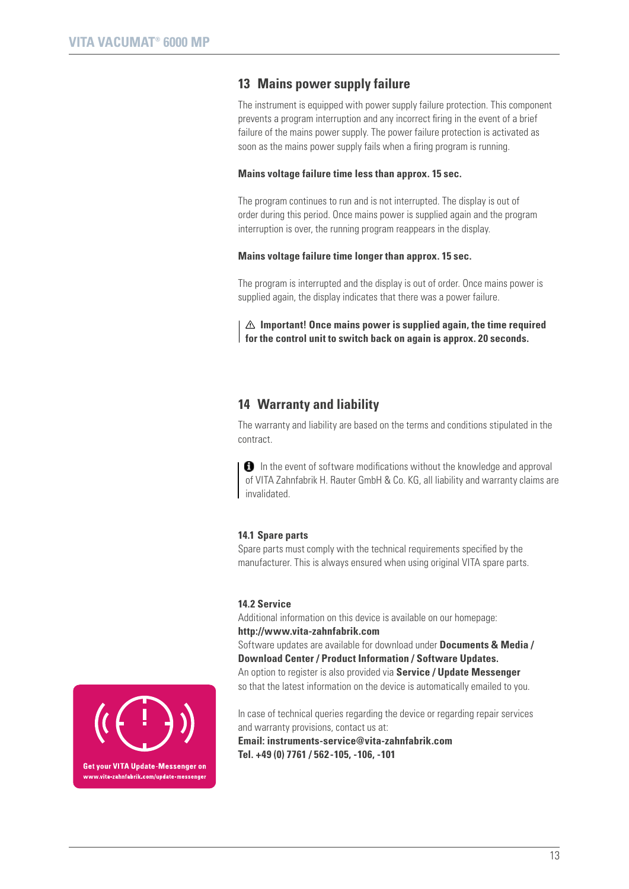# **13 Mains power supply failure**

The instrument is equipped with power supply failure protection. This component prevents a program interruption and any incorrect firing in the event of a brief failure of the mains power supply. The power failure protection is activated as soon as the mains power supply fails when a firing program is running.

#### **Mains voltage failure time less than approx. 15 sec.**

The program continues to run and is not interrupted. The display is out of order during this period. Once mains power is supplied again and the program interruption is over, the running program reappears in the display.

#### **Mains voltage failure time longer than approx. 15 sec.**

The program is interrupted and the display is out of order. Once mains power is supplied again, the display indicates that there was a power failure.

**Important! Once mains power is supplied again, the time required for the control unit to switch back on again is approx. 20 seconds.**

# **14 Warranty and liability**

The warranty and liability are based on the terms and conditions stipulated in the contract.

**O** In the event of software modifications without the knowledge and approval of VITA Zahnfabrik H. Rauter GmbH & Co. KG, all liability and warranty claims are invalidated.

#### **14.1 Spare parts**

Spare parts must comply with the technical requirements specified by the manufacturer. This is always ensured when using original VITA spare parts.

#### **14.2 Service**

Additional information on this device is available on our homepage: **http://www.vita-zahnfabrik.com**

Software updates are available for download under **Documents & Media / Download Center / Product Information / Software Updates.** An option to register is also provided via **Service / Update Messenger** so that the latest information on the device is automatically emailed to you.

In case of technical queries regarding the device or regarding repair services and warranty provisions, contact us at:

**Email: instruments-service@vita-zahnfabrik.com Tel. +49 (0) 7761 / 562-105, -106, -101** 

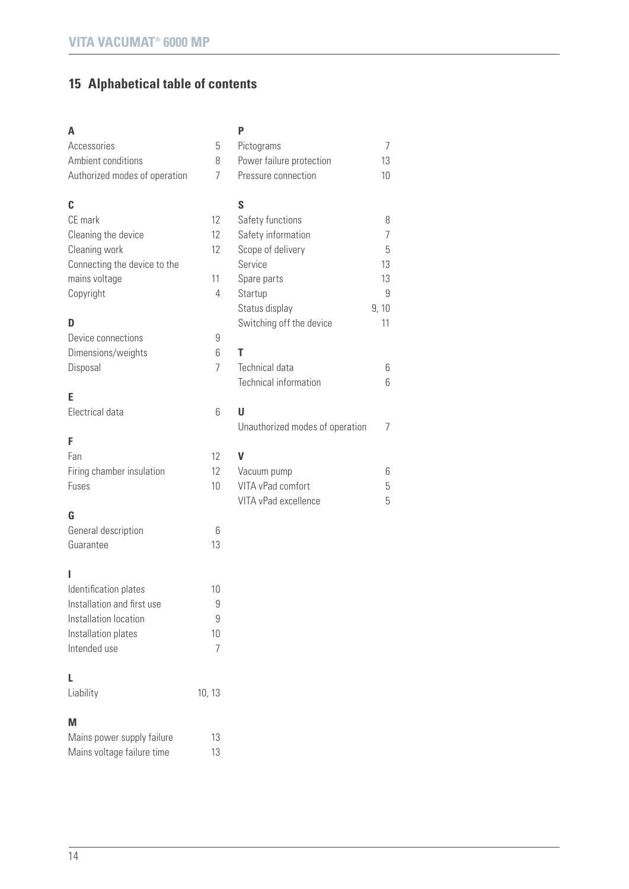# **15 Alphabetical table of contents**

# **A**

| Α                             |                | P                               |      |
|-------------------------------|----------------|---------------------------------|------|
| Accessories                   | 5              | Pictograms                      | 7    |
| Ambient conditions            | 8              | Power failure protection        | 13   |
| Authorized modes of operation | 7              | Pressure connection             | 10   |
| C                             |                | S                               |      |
| CE mark                       | 12             | Safety functions                | 8    |
| Cleaning the device           | 12             | Safety information              | 7    |
| Cleaning work                 | 12             | Scope of delivery               | 5    |
| Connecting the device to the  |                | Service                         | 13   |
| mains voltage                 | 11             | Spare parts                     | 13   |
| Copyright                     | 4              | Startup                         | 9    |
|                               |                | Status display                  | 9,10 |
| D                             |                | Switching off the device        | 11   |
| Device connections            | 9              |                                 |      |
| Dimensions/weights            | 6              | T                               |      |
| Disposal                      | 7              | Technical data                  | 6    |
|                               |                | Technical information           | 6    |
| E                             |                |                                 |      |
| Electrical data               | 6              | U                               |      |
|                               |                | Unauthorized modes of operation | 7    |
| F                             |                |                                 |      |
| Fan                           | 12             | V                               |      |
| Firing chamber insulation     | 12             | Vacuum pump                     | 6    |
| Fuses                         | 10             | VITA vPad comfort               | 5    |
|                               |                | VITA vPad excellence            | 5    |
| G                             |                |                                 |      |
| General description           | 6              |                                 |      |
| Guarantee                     | 13             |                                 |      |
| ı                             |                |                                 |      |
| Identification plates         | 10             |                                 |      |
| Installation and first use    | 9              |                                 |      |
| Installation location         | 9              |                                 |      |
| Installation plates           | 10             |                                 |      |
| Intended use                  | $\overline{7}$ |                                 |      |
| L                             |                |                                 |      |
| Liability                     | 10, 13         |                                 |      |
| M                             |                |                                 |      |
| Mains power supply failure    | 13             |                                 |      |
| Mains voltage failure time    | 13             |                                 |      |

 $\overline{14}$